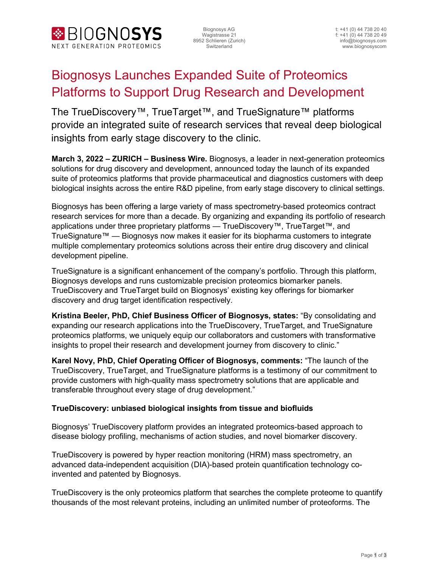

Wagistrasse 21 f: +41 (0) 44 738 20 49<br>8952 Schlieren (Zurich) final particular settem with the distribution of the distribution of the distribution

# Biognosys Launches Expanded Suite of Proteomics Platforms to Support Drug Research and Development

The TrueDiscovery™, TrueTarget™, and TrueSignature™ platforms provide an integrated suite of research services that reveal deep biological insights from early stage discovery to the clinic.

**March 3, 2022 – ZURICH – Business Wire.** Biognosys, a leader in next-generation proteomics solutions for drug discovery and development, announced today the launch of its expanded suite of proteomics platforms that provide pharmaceutical and diagnostics customers with deep biological insights across the entire R&D pipeline, from early stage discovery to clinical settings.

Biognosys has been offering a large variety of mass spectrometry-based proteomics contract research services for more than a decade. By organizing and expanding its portfolio of research applications under three proprietary platforms — TrueDiscovery™, TrueTarget™, and TrueSignature™ — Biognosys now makes it easier for its biopharma customers to integrate multiple complementary proteomics solutions across their entire drug discovery and clinical development pipeline.

TrueSignature is a significant enhancement of the company's portfolio. Through this platform, Biognosys develops and runs customizable precision proteomics biomarker panels. TrueDiscovery and TrueTarget build on Biognosys' existing key offerings for biomarker discovery and drug target identification respectively.

**Kristina Beeler, PhD, Chief Business Officer of Biognosys, states:** "By consolidating and expanding our research applications into the TrueDiscovery, TrueTarget, and TrueSignature proteomics platforms, we uniquely equip our collaborators and customers with transformative insights to propel their research and development journey from discovery to clinic."

**Karel Novy, PhD, Chief Operating Officer of Biognosys, comments:** "The launch of the TrueDiscovery, TrueTarget, and TrueSignature platforms is a testimony of our commitment to provide customers with high-quality mass spectrometry solutions that are applicable and transferable throughout every stage of drug development."

### **TrueDiscovery: unbiased biological insights from tissue and biofluids**

Biognosys' TrueDiscovery platform provides an integrated proteomics-based approach to disease biology profiling, mechanisms of action studies, and novel biomarker discovery.

TrueDiscovery is powered by hyper reaction monitoring (HRM) mass spectrometry, an advanced data-independent acquisition (DIA)-based protein quantification technology coinvented and patented by Biognosys.

TrueDiscovery is the only proteomics platform that searches the complete proteome to quantify thousands of the most relevant proteins, including an unlimited number of proteoforms. The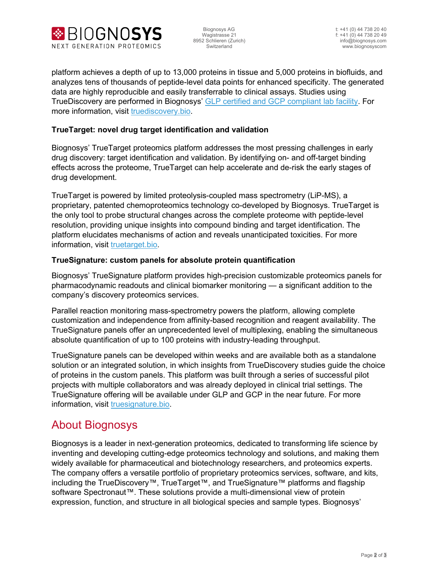

platform achieves a depth of up to 13,000 proteins in tissue and 5,000 proteins in biofluids, and analyzes tens of thousands of peptide-level data points for enhanced specificity. The generated data are highly reproducible and easily transferrable to clinical assays. Studies using TrueDiscovery are performed in Biognosys' GLP certified and GCP [compliant lab facility.](https://biognosys.com/news/biognosys-announces-glp-certification-of-its-proteomics-facility-by-the-swiss-health-authorities/) For more information, visit [truediscovery.bio.](http://www.biognosys.com/)

### **TrueTarget: novel drug target identification and validation**

Biognosys' TrueTarget proteomics platform addresses the most pressing challenges in early drug discovery: target identification and validation. By identifying on- and off-target binding effects across the proteome, TrueTarget can help accelerate and de-risk the early stages of drug development.

TrueTarget is powered by limited proteolysis-coupled mass spectrometry (LiP-MS), a proprietary, patented chemoproteomics technology co-developed by Biognosys. TrueTarget is the only tool to probe structural changes across the complete proteome with peptide-level resolution, providing unique insights into compound binding and target identification. The platform elucidates mechanisms of action and reveals unanticipated toxicities. For more information, visit [truetarget.bio.](http://www.biognosys.com/)

#### **TrueSignature: custom panels for absolute protein quantification**

Biognosys' TrueSignature platform provides high-precision customizable proteomics panels for pharmacodynamic readouts and clinical biomarker monitoring — a significant addition to the company's discovery proteomics services.

Parallel reaction monitoring mass-spectrometry powers the platform, allowing complete customization and independence from affinity-based recognition and reagent availability. The TrueSignature panels offer an unprecedented level of multiplexing, enabling the simultaneous absolute quantification of up to 100 proteins with industry-leading throughput.

TrueSignature panels can be developed within weeks and are available both as a standalone solution or an integrated solution, in which insights from TrueDiscovery studies guide the choice of proteins in the custom panels. This platform was built through a series of successful pilot projects with multiple collaborators and was already deployed in clinical trial settings. The TrueSignature offering will be available under GLP and GCP in the near future. For more information, visit [truesignature.bio.](http://www.biognosys.com/)

# About Biognosys

Biognosys is a leader in next-generation proteomics, dedicated to transforming life science by inventing and developing cutting-edge proteomics technology and solutions, and making them widely available for pharmaceutical and biotechnology researchers, and proteomics experts. The company offers a versatile portfolio of proprietary proteomics services, software, and kits, including the TrueDiscovery™, TrueTarget™, and TrueSignature™ platforms and flagship software Spectronaut™. These solutions provide a multi-dimensional view of protein expression, function, and structure in all biological species and sample types. Biognosys'